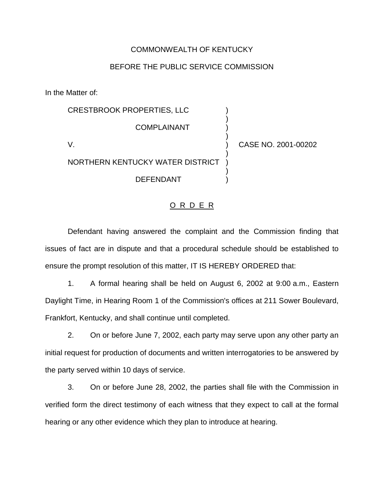## COMMONWEALTH OF KENTUCKY

## BEFORE THE PUBLIC SERVICE COMMISSION

In the Matter of:

|                                  | <b>CRESTBROOK PROPERTIES, LLC</b> |                     |
|----------------------------------|-----------------------------------|---------------------|
|                                  | <b>COMPLAINANT</b>                |                     |
|                                  |                                   | CASE NO. 2001-00202 |
| NORTHERN KENTUCKY WATER DISTRICT |                                   |                     |
|                                  | <b>DEFENDANT</b>                  |                     |
|                                  |                                   |                     |

## O R D E R

Defendant having answered the complaint and the Commission finding that issues of fact are in dispute and that a procedural schedule should be established to ensure the prompt resolution of this matter, IT IS HEREBY ORDERED that:

1. A formal hearing shall be held on August 6, 2002 at 9:00 a.m., Eastern Daylight Time, in Hearing Room 1 of the Commission's offices at 211 Sower Boulevard, Frankfort, Kentucky, and shall continue until completed.

2. On or before June 7, 2002, each party may serve upon any other party an initial request for production of documents and written interrogatories to be answered by the party served within 10 days of service.

3. On or before June 28, 2002, the parties shall file with the Commission in verified form the direct testimony of each witness that they expect to call at the formal hearing or any other evidence which they plan to introduce at hearing.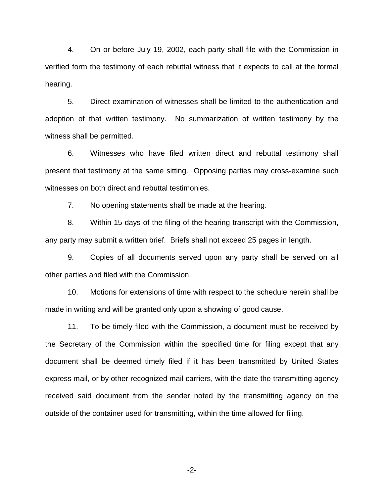4. On or before July 19, 2002, each party shall file with the Commission in verified form the testimony of each rebuttal witness that it expects to call at the formal hearing.

5. Direct examination of witnesses shall be limited to the authentication and adoption of that written testimony. No summarization of written testimony by the witness shall be permitted.

6. Witnesses who have filed written direct and rebuttal testimony shall present that testimony at the same sitting. Opposing parties may cross-examine such witnesses on both direct and rebuttal testimonies.

7. No opening statements shall be made at the hearing.

8. Within 15 days of the filing of the hearing transcript with the Commission, any party may submit a written brief. Briefs shall not exceed 25 pages in length.

9. Copies of all documents served upon any party shall be served on all other parties and filed with the Commission.

10. Motions for extensions of time with respect to the schedule herein shall be made in writing and will be granted only upon a showing of good cause.

11. To be timely filed with the Commission, a document must be received by the Secretary of the Commission within the specified time for filing except that any document shall be deemed timely filed if it has been transmitted by United States express mail, or by other recognized mail carriers, with the date the transmitting agency received said document from the sender noted by the transmitting agency on the outside of the container used for transmitting, within the time allowed for filing.

-2-